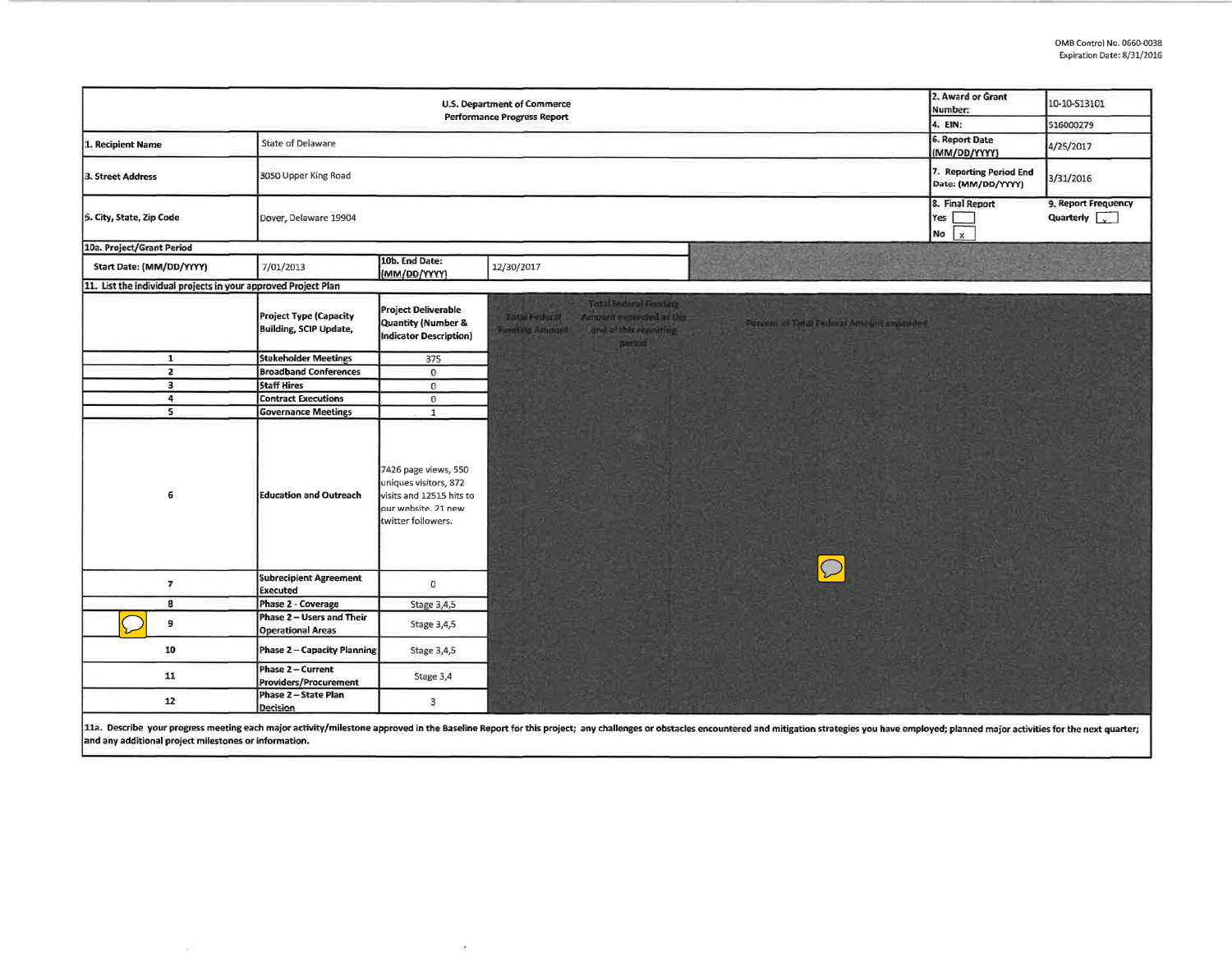| 2. Award or Grant<br><b>U.S. Department of Commerce</b><br>Number:<br><b>Performance Progress Report</b><br>4. EIN: |                                                       |                                                                                                                        |                                                                                                                                                                                                                                |                                               | 10-10-S13101                                          |
|---------------------------------------------------------------------------------------------------------------------|-------------------------------------------------------|------------------------------------------------------------------------------------------------------------------------|--------------------------------------------------------------------------------------------------------------------------------------------------------------------------------------------------------------------------------|-----------------------------------------------|-------------------------------------------------------|
|                                                                                                                     |                                                       |                                                                                                                        |                                                                                                                                                                                                                                |                                               | 516000279                                             |
| 1. Recipient Name                                                                                                   | State of Delaware                                     |                                                                                                                        |                                                                                                                                                                                                                                | 6. Report Date<br>(MM/DD/YYYY)                | 4/25/2017                                             |
| 3. Street Address                                                                                                   | 3050 Upper King Road                                  |                                                                                                                        |                                                                                                                                                                                                                                | 7. Reporting Period End<br>Date: (MM/DD/YYYY) | 3/31/2016                                             |
| 5. City, State, Zip Code                                                                                            | Dover, Delaware 19904                                 |                                                                                                                        |                                                                                                                                                                                                                                | 8. Final Report<br>Yes:<br>$\mathbf{x}$<br>No | 9. Report Frequency<br>Quarterly $\sqrt{\phantom{a}}$ |
| 10a. Project/Grant Period                                                                                           |                                                       |                                                                                                                        |                                                                                                                                                                                                                                |                                               |                                                       |
| Start Date: (MM/DD/YYYY)                                                                                            | 7/01/2013                                             | 10b. End Date:<br>(MM/DD/YYYY)                                                                                         | 12/30/2017                                                                                                                                                                                                                     |                                               |                                                       |
| 11. List the individual projects in your approved Project Plan                                                      |                                                       |                                                                                                                        |                                                                                                                                                                                                                                |                                               |                                                       |
|                                                                                                                     | Project Type (Capacity<br>Building, SCIP Update,      | <b>Project Deliverable</b><br>Quantity (Number &<br>Indicator Description)                                             | <b>Yotal Federal Funding</b><br>Amount e-pended at the<br><b>Sotal Federal</b><br>Percent of Tatal Federal Amount experient<br>end of this reporting<br>Functing Amount<br>period                                              |                                               |                                                       |
| $\mathbf{1}$                                                                                                        | <b>Stakeholder Meetings</b>                           | 375                                                                                                                    |                                                                                                                                                                                                                                |                                               |                                                       |
| $\overline{z}$                                                                                                      | <b>Broadband Conferences</b>                          | $\mathbf{0}$                                                                                                           |                                                                                                                                                                                                                                |                                               |                                                       |
| $\overline{\mathbf{3}}$                                                                                             | <b>Staff Hires</b>                                    | $\mathbf 0$                                                                                                            |                                                                                                                                                                                                                                |                                               |                                                       |
| $\overline{4}$                                                                                                      | <b>Contract Executions</b>                            | $\bf{0}$                                                                                                               |                                                                                                                                                                                                                                |                                               |                                                       |
| 5                                                                                                                   | <b>Governance Meetings</b>                            | $\mathbf{1}$                                                                                                           |                                                                                                                                                                                                                                |                                               |                                                       |
| 6                                                                                                                   | <b>Education and Outreach</b>                         | 7426 page views, 550<br>uniques visitors, 872<br>visits and 12515 hits to<br>our website. 21 new<br>twitter followers. | $\bigcap$                                                                                                                                                                                                                      |                                               |                                                       |
| $\overline{7}$                                                                                                      | <b>Subrecipient Agreement</b><br>Executed             | $\circ$                                                                                                                |                                                                                                                                                                                                                                |                                               |                                                       |
| 8                                                                                                                   | Phase 2 - Coverage                                    | Stage 3,4,5                                                                                                            |                                                                                                                                                                                                                                |                                               |                                                       |
| 9                                                                                                                   | Phase 2 - Users and Their<br><b>Operational Areas</b> | Stage 3,4,5                                                                                                            |                                                                                                                                                                                                                                |                                               |                                                       |
| 10                                                                                                                  | Phase 2 - Capacity Planning                           | Stage 3,4,5                                                                                                            |                                                                                                                                                                                                                                |                                               |                                                       |
| 11                                                                                                                  | Phase 2 - Current<br>Providers/Procurement            | Stage 3,4                                                                                                              |                                                                                                                                                                                                                                |                                               |                                                       |
| 12                                                                                                                  | Phase 2 - State Plan<br><b>Decision</b>               | 3                                                                                                                      |                                                                                                                                                                                                                                |                                               |                                                       |
|                                                                                                                     |                                                       |                                                                                                                        | 11a. Describe your progress meeting each major activity/milestone approved in the Baseline Report for this project; any challenges or obstacles encountered and mitigation strategies you have employed; planned major activit |                                               |                                                       |

 $\mathcal{G}$ 

**and any additional project milestones or information.**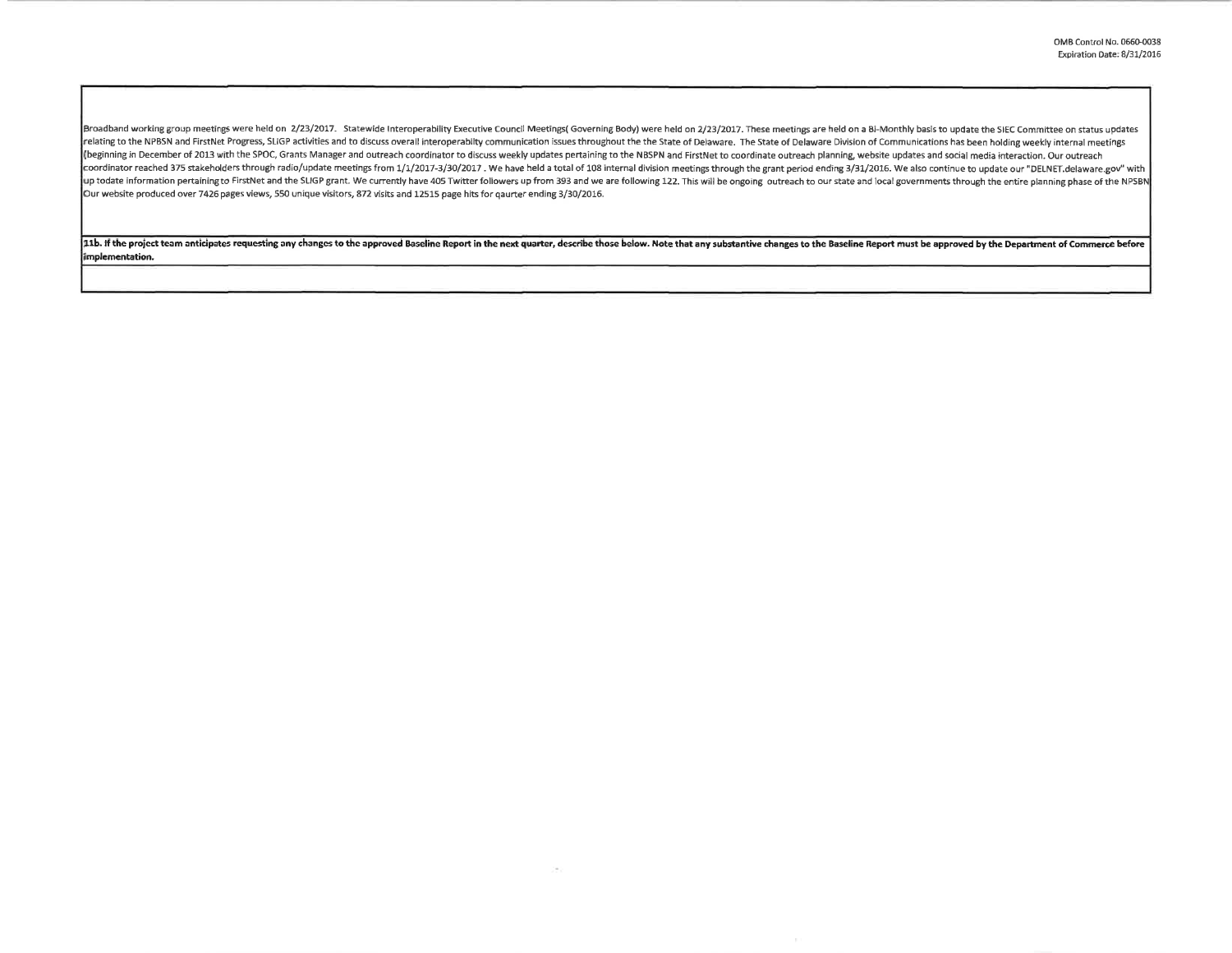Broadband working group meetings were held on 2/23/2017. Statewide Interoperability Executive Council Meetings( Governing Body) were held on 2/23/2017. These meetings are held on a Bi-Monthly basis to update the SIEC Commi relating to the NPBSN and FirstNet Progress, SLIGP activities and to discuss overall interoperabilty communication issues throughout the the State of Delaware. The State of Delaware Division of Communications has been hold (beginning in December of 2013 with the SPOC, Grants Manager and outreach coordinator to discuss weekly updates pertaining to the NBSPN and FirstNet to coordinate outreach planning, website updates and social media interac coordinator reached 375 stakeholders through radio/update meetings from 1/1/2017-3/30/2017. We have held a total of 108 internal division meetings through the grant period ending 3/31/2016. We also continue to update our " up todate information pertaining to FirstNet and the SLIGP grant. We currently have 405 Twitter followers up from 393 and we are following 122. This will be ongoing outreach to our state and local governments through the e Our website produced over 7426 pages views, 550 unique visitors, 872 visits and 12515 page hits for qaurter ending 3/30/2016.

11b. If the project team anticipates requesting any changes to the approved Baseline Report in the next quarter, describe those below. Note that any substantive changes to the Baseline Report must be approved by the Depart **implementation.** 

na.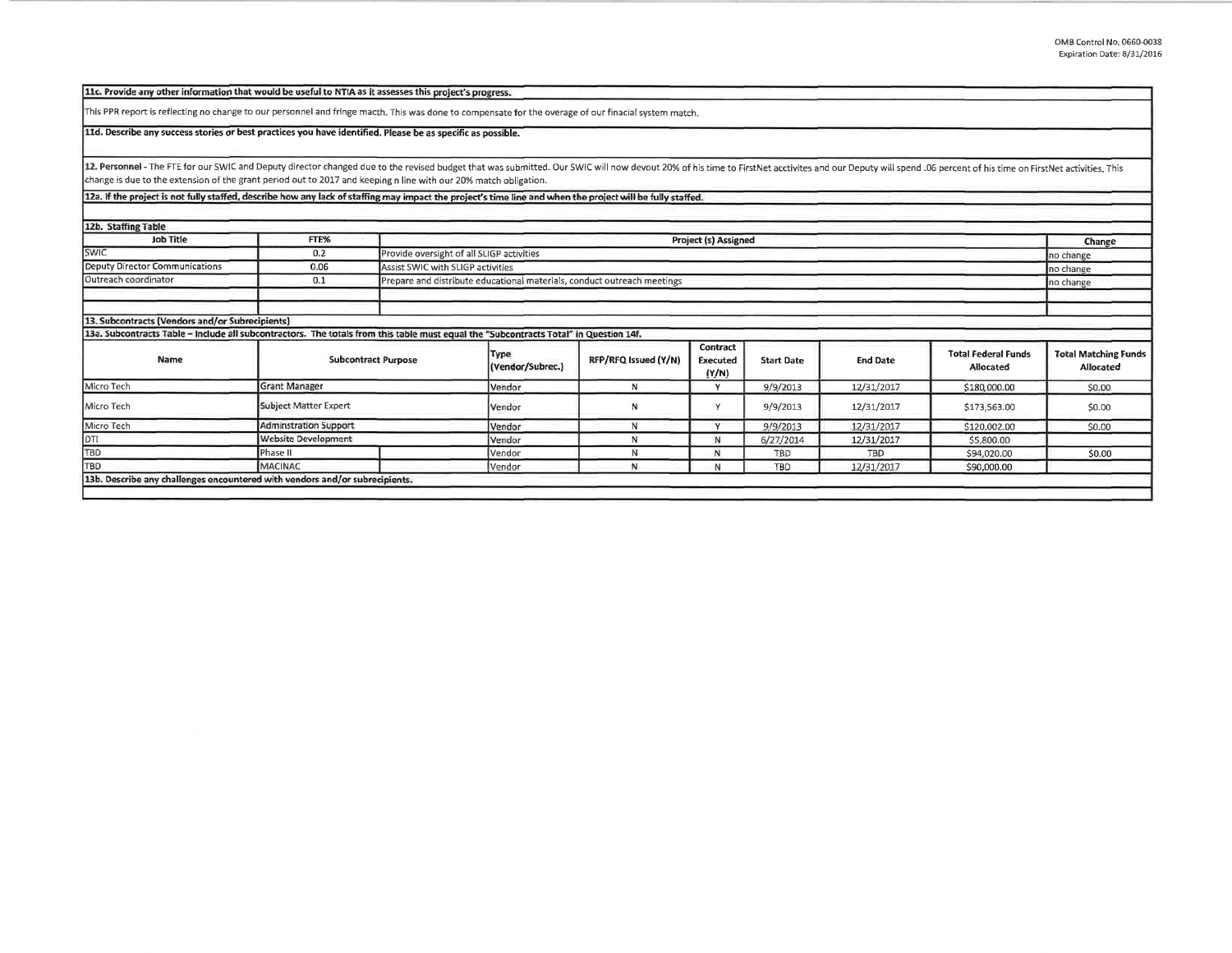| 11c. Provide any other information that would be useful to NTIA as it assesses this project's progress.                                                                                                                        |                              |                                                                         |                             |                      |                               |                   |                 |                                         |                                          |
|--------------------------------------------------------------------------------------------------------------------------------------------------------------------------------------------------------------------------------|------------------------------|-------------------------------------------------------------------------|-----------------------------|----------------------|-------------------------------|-------------------|-----------------|-----------------------------------------|------------------------------------------|
| This PPR report is reflecting no change to our personnel and fringe macth. This was done to compensate for the overage of our finacial system match.                                                                           |                              |                                                                         |                             |                      |                               |                   |                 |                                         |                                          |
| 11d. Describe any success stories or best practices you have identified. Please be as specific as possible.                                                                                                                    |                              |                                                                         |                             |                      |                               |                   |                 |                                         |                                          |
| 12. Personnel - The FTE for our SWIC and Deputy director changed due to the revised budget that was submitted. Our SWIC will now devout 20% of his time to FirstNet acctivites and our Deputy will spend .06 percent of his ti |                              |                                                                         |                             |                      |                               |                   |                 |                                         |                                          |
| change is due to the extension of the grant period out to 2017 and keeping n line with our 20% match obligation.                                                                                                               |                              |                                                                         |                             |                      |                               |                   |                 |                                         |                                          |
| 12a. If the project is not fully staffed, describe how any lack of staffing may impact the project's time line and when the project will be fully staffed.                                                                     |                              |                                                                         |                             |                      |                               |                   |                 |                                         |                                          |
|                                                                                                                                                                                                                                |                              |                                                                         |                             |                      |                               |                   |                 |                                         |                                          |
| 12b. Staffing Table                                                                                                                                                                                                            |                              |                                                                         |                             |                      |                               |                   |                 |                                         |                                          |
| <b>Job Title</b>                                                                                                                                                                                                               | FTE%                         |                                                                         | <b>Project (s) Assigned</b> |                      |                               |                   |                 | Change                                  |                                          |
| <b>SWIC</b>                                                                                                                                                                                                                    | 0.2                          | Provide oversight of all SLIGP activities                               |                             |                      |                               |                   |                 | no change                               |                                          |
| Deputy Director Communications                                                                                                                                                                                                 | 0.06                         | Assist SWIC with SLIGP activities                                       |                             |                      |                               |                   |                 | no change                               |                                          |
| Outreach coordinator                                                                                                                                                                                                           | 0.1                          | Prepare and distribute educational materials, conduct outreach meetings |                             |                      |                               |                   | no change       |                                         |                                          |
|                                                                                                                                                                                                                                |                              |                                                                         |                             |                      |                               |                   |                 |                                         |                                          |
|                                                                                                                                                                                                                                |                              |                                                                         |                             |                      |                               |                   |                 |                                         |                                          |
| 13. Subcontracts (Vendors and/or Subrecipients)                                                                                                                                                                                |                              |                                                                         |                             |                      |                               |                   |                 |                                         |                                          |
| 13a. Subcontracts Table - Include all subcontractors. The totals from this table must equal the "Subcontracts Total" in Question 14f.                                                                                          |                              |                                                                         |                             |                      |                               |                   |                 |                                         |                                          |
| Name                                                                                                                                                                                                                           | <b>Subcontract Purpose</b>   |                                                                         | Type<br>(Vendor/Subrec.)    | RFP/RFQ Issued (Y/N) | Contract<br>Executed<br>(Y/N) | <b>Start Date</b> | <b>End Date</b> | <b>Total Federal Funds</b><br>Allocated | <b>Total Matching Funds</b><br>Allocated |
| Micro Tech                                                                                                                                                                                                                     | <b>Grant Manager</b>         |                                                                         |                             | N                    | Y                             | 9/9/2013          | 12/31/2017      | \$180,000.00                            | \$0.00                                   |
| Micro Tech                                                                                                                                                                                                                     | Subject Matter Expert        |                                                                         | Vendor                      | N                    | ٧                             | 9/9/2013          | 12/31/2017      | \$173,563.00                            | \$0.00                                   |
| Micro Tech                                                                                                                                                                                                                     | <b>Adminstration Support</b> |                                                                         | Vendor                      | N                    | $\vee$                        | 9/9/2013          | 12/31/2017      | \$120.002.00                            | \$0.00                                   |
| DTI<br>TBD                                                                                                                                                                                                                     | Website Development          |                                                                         | Vendor                      | N                    | N                             | 6/27/2014         | 12/31/2017      | \$5,800.00                              |                                          |
|                                                                                                                                                                                                                                | Phase II                     |                                                                         | Vendor                      | N                    | N                             | TBD               | TBD.            | \$94,020.00                             | \$0.00                                   |
| TBD                                                                                                                                                                                                                            | <b>MACINAC</b>               |                                                                         | Vendor                      | N                    | N                             | <b>TBD</b>        | 12/31/2017      | \$90,000.00                             |                                          |
| 13b. Describe any challenges encountered with vendors and/or subrecipients.                                                                                                                                                    |                              |                                                                         |                             |                      |                               |                   |                 |                                         |                                          |
|                                                                                                                                                                                                                                |                              |                                                                         |                             |                      |                               |                   |                 |                                         |                                          |